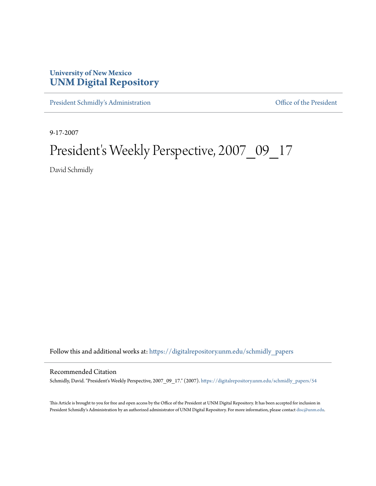## **University of New Mexico [UNM Digital Repository](https://digitalrepository.unm.edu?utm_source=digitalrepository.unm.edu%2Fschmidly_papers%2F54&utm_medium=PDF&utm_campaign=PDFCoverPages)**

[President Schmidly's Administration](https://digitalrepository.unm.edu/schmidly_papers?utm_source=digitalrepository.unm.edu%2Fschmidly_papers%2F54&utm_medium=PDF&utm_campaign=PDFCoverPages) [Office of the President](https://digitalrepository.unm.edu/ofc_president?utm_source=digitalrepository.unm.edu%2Fschmidly_papers%2F54&utm_medium=PDF&utm_campaign=PDFCoverPages)

9-17-2007

## President's Weekly Perspective, 2007\_09\_17

David Schmidly

Follow this and additional works at: [https://digitalrepository.unm.edu/schmidly\\_papers](https://digitalrepository.unm.edu/schmidly_papers?utm_source=digitalrepository.unm.edu%2Fschmidly_papers%2F54&utm_medium=PDF&utm_campaign=PDFCoverPages)

## Recommended Citation

Schmidly, David. "President's Weekly Perspective, 2007\_09\_17." (2007). [https://digitalrepository.unm.edu/schmidly\\_papers/54](https://digitalrepository.unm.edu/schmidly_papers/54?utm_source=digitalrepository.unm.edu%2Fschmidly_papers%2F54&utm_medium=PDF&utm_campaign=PDFCoverPages)

This Article is brought to you for free and open access by the Office of the President at UNM Digital Repository. It has been accepted for inclusion in President Schmidly's Administration by an authorized administrator of UNM Digital Repository. For more information, please contact [disc@unm.edu](mailto:disc@unm.edu).